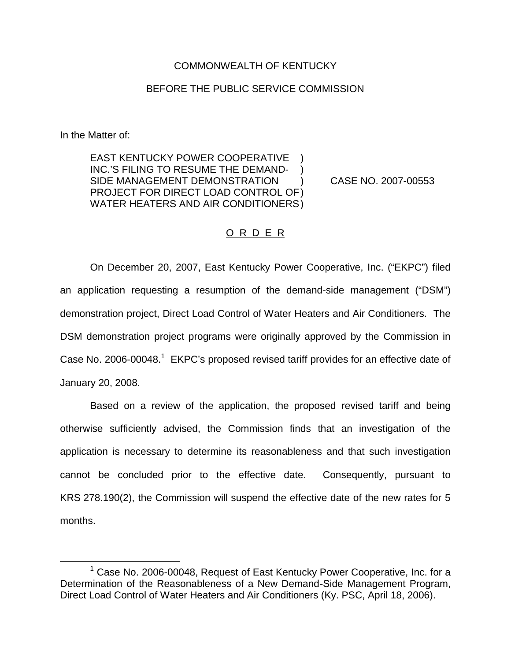## COMMONWEALTH OF KENTUCKY

## BEFORE THE PUBLIC SERVICE COMMISSION

In the Matter of:

EAST KENTUCKY POWER COOPERATIVE INC.'S FILING TO RESUME THE DEMAND-SIDE MANAGEMENT DEMONSTRATION ) CASE NO. 2007-00553 PROJECT FOR DIRECT LOAD CONTROL OF) WATER HEATERS AND AIR CONDITIONERS)

## O R D E R

On December 20, 2007, East Kentucky Power Cooperative, Inc. ("EKPC") filed an application requesting a resumption of the demand-side management ("DSM") demonstration project, Direct Load Control of Water Heaters and Air Conditioners. The DSM demonstration project programs were originally approved by the Commission in Case No. 2006-00048.<sup>1</sup> EKPC's proposed revised tariff provides for an effective date of January 20, 2008.

Based on a review of the application, the proposed revised tariff and being otherwise sufficiently advised, the Commission finds that an investigation of the application is necessary to determine its reasonableness and that such investigation cannot be concluded prior to the effective date. Consequently, pursuant to KRS 278.190(2), the Commission will suspend the effective date of the new rates for 5 months.

<sup>&</sup>lt;sup>1</sup> Case No. 2006-00048, Request of East Kentucky Power Cooperative, Inc. for a Determination of the Reasonableness of a New Demand-Side Management Program, Direct Load Control of Water Heaters and Air Conditioners (Ky. PSC, April 18, 2006).